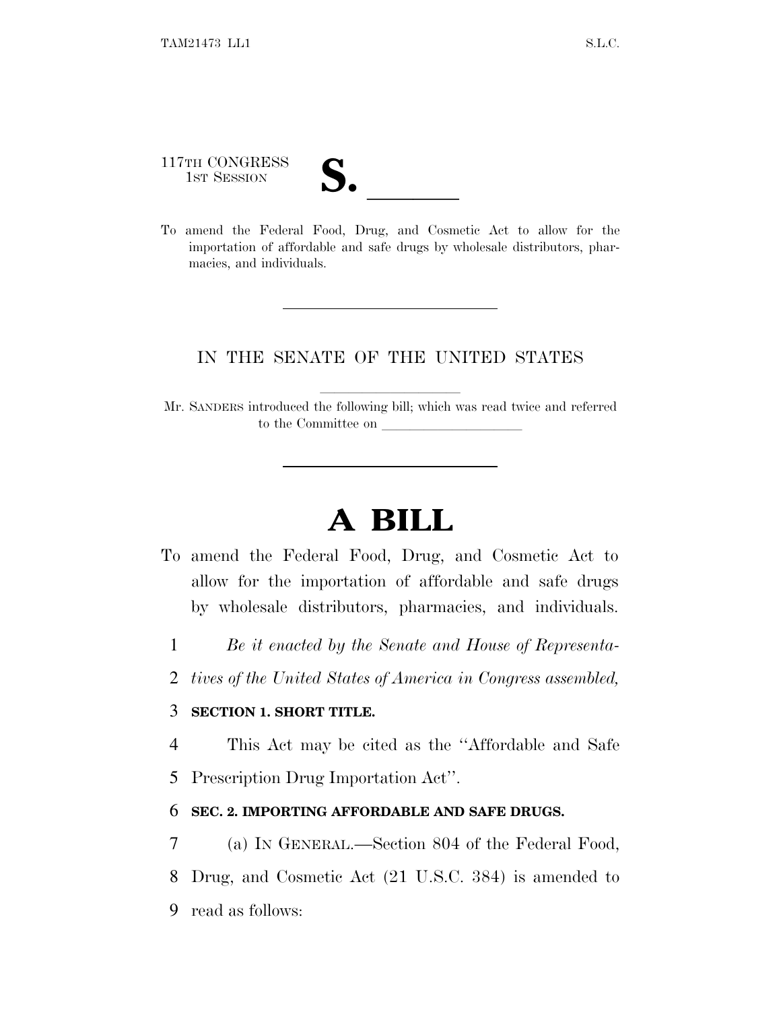117TH CONGRESS

117TH CONGRESS<br>
1ST SESSION<br>
To amend the Federal Food, Drug, and Cosmetic Act to allow for the importation of affordable and safe drugs by wholesale distributors, pharmacies, and individuals.

### IN THE SENATE OF THE UNITED STATES

Mr. SANDERS introduced the following bill; which was read twice and referred to the Committee on

# **A BILL**

- To amend the Federal Food, Drug, and Cosmetic Act to allow for the importation of affordable and safe drugs by wholesale distributors, pharmacies, and individuals.
	- 1 *Be it enacted by the Senate and House of Representa-*
	- 2 *tives of the United States of America in Congress assembled,*

#### 3 **SECTION 1. SHORT TITLE.**

4 This Act may be cited as the ''Affordable and Safe

5 Prescription Drug Importation Act''.

#### 6 **SEC. 2. IMPORTING AFFORDABLE AND SAFE DRUGS.**

7 (a) I<sup>N</sup> GENERAL.—Section 804 of the Federal Food, 8 Drug, and Cosmetic Act (21 U.S.C. 384) is amended to 9 read as follows: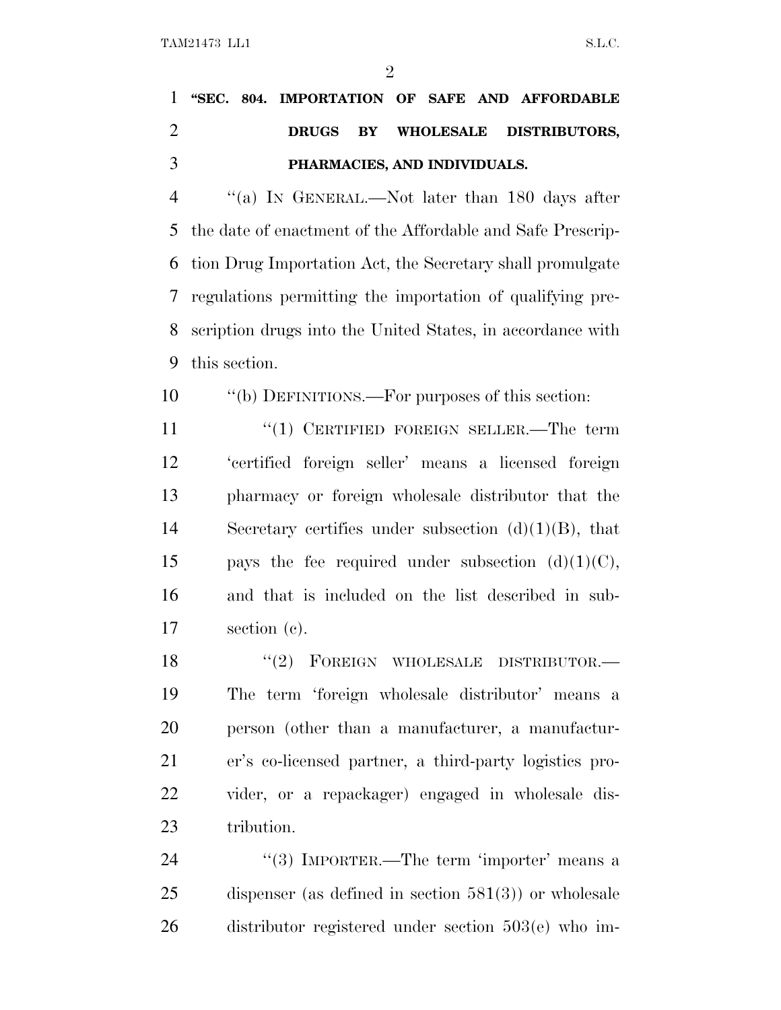$\mathfrak{D}$ 

## **''SEC. 804. IMPORTATION OF SAFE AND AFFORDABLE DRUGS BY WHOLESALE DISTRIBUTORS, PHARMACIES, AND INDIVIDUALS.**

 ''(a) I<sup>N</sup> GENERAL.—Not later than 180 days after the date of enactment of the Affordable and Safe Prescrip- tion Drug Importation Act, the Secretary shall promulgate regulations permitting the importation of qualifying pre- scription drugs into the United States, in accordance with this section.

''(b) DEFINITIONS.—For purposes of this section:

11 "(1) CERTIFIED FOREIGN SELLER.—The term 'certified foreign seller' means a licensed foreign pharmacy or foreign wholesale distributor that the Secretary certifies under subsection (d)(1)(B), that 15 pays the fee required under subsection  $(d)(1)(C)$ , and that is included on the list described in sub-section (c).

18 "(2) FOREIGN WHOLESALE DISTRIBUTOR.— The term 'foreign wholesale distributor' means a person (other than a manufacturer, a manufactur- er's co-licensed partner, a third-party logistics pro- vider, or a repackager) engaged in wholesale dis-tribution.

24 "(3) IMPORTER.—The term 'importer' means a dispenser (as defined in section 581(3)) or wholesale distributor registered under section 503(e) who im-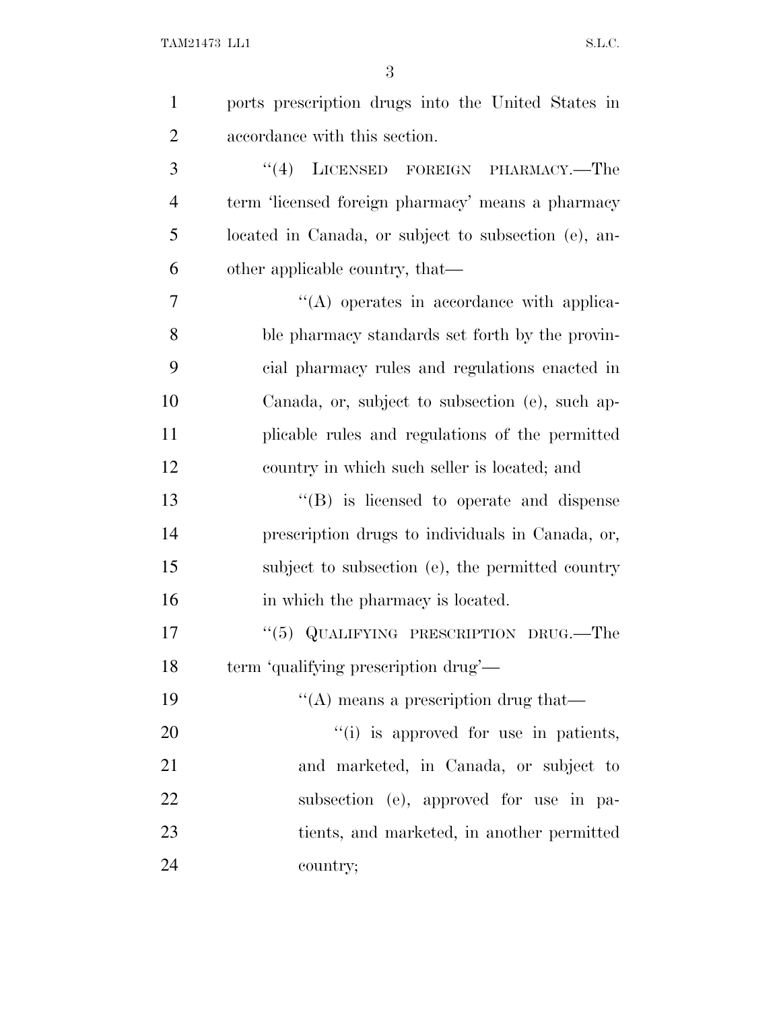| $\mathbf{1}$   | ports prescription drugs into the United States in   |
|----------------|------------------------------------------------------|
| $\overline{2}$ | accordance with this section.                        |
| 3              | LICENSED FOREIGN PHARMACY.-The<br>(4)                |
| $\overline{4}$ | term 'licensed foreign pharmacy' means a pharmacy    |
| 5              | located in Canada, or subject to subsection (e), an- |
| 6              | other applicable country, that—                      |
| 7              | $\lq\lq$ operates in accordance with applica-        |
| 8              | ble pharmacy standards set forth by the provin-      |
| 9              | cial pharmacy rules and regulations enacted in       |
| 10             | Canada, or, subject to subsection (e), such ap-      |
| 11             | plicable rules and regulations of the permitted      |
| 12             | country in which such seller is located; and         |
| 13             | "(B) is licensed to operate and dispense             |
| 14             | prescription drugs to individuals in Canada, or,     |
| 15             | subject to subsection (e), the permitted country     |
| 16             | in which the pharmacy is located.                    |
| 17             | "(5) QUALIFYING PRESCRIPTION DRUG.—The               |
| 18             | term 'qualifying prescription drug'—                 |
| 19             | $\lq\lq$ means a prescription drug that—             |
| 20             | "(i) is approved for use in patients,                |
| 21             | and marketed, in Canada, or subject to               |
| 22             | subsection (e), approved for use in pa-              |
| 23             | tients, and marketed, in another permitted           |
| 24             | country;                                             |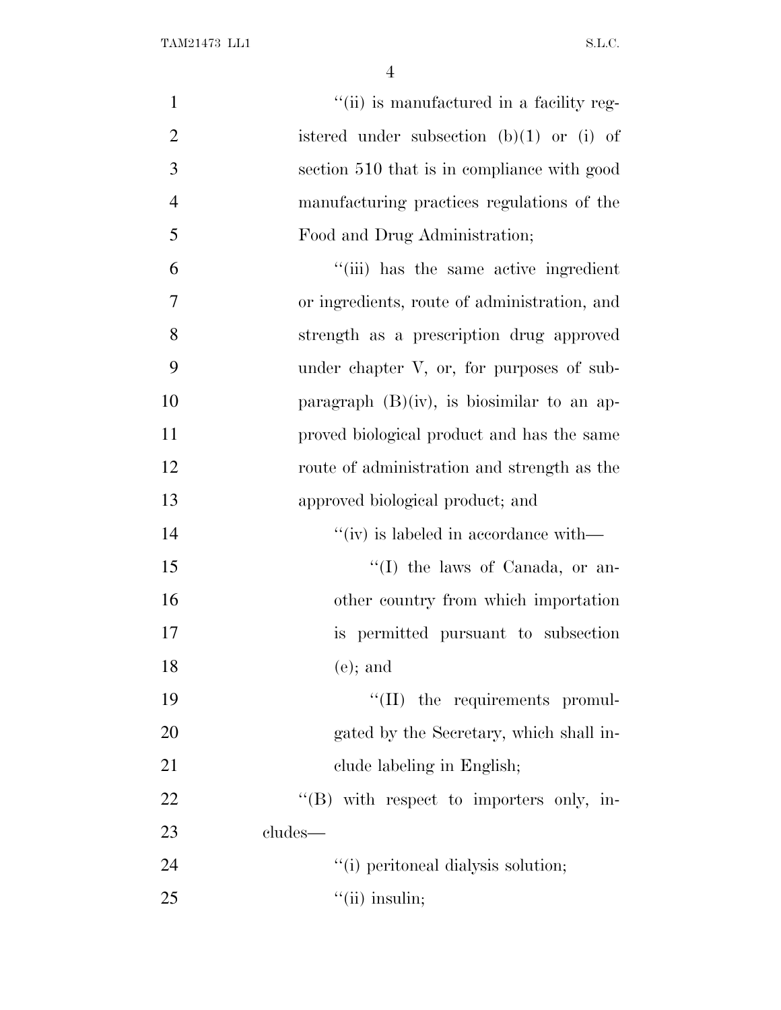| $\mathbf{1}$   | "(ii) is manufactured in a facility reg-      |
|----------------|-----------------------------------------------|
| $\overline{2}$ | istered under subsection $(b)(1)$ or $(i)$ of |
| 3              | section 510 that is in compliance with good   |
| $\overline{4}$ | manufacturing practices regulations of the    |
| 5              | Food and Drug Administration;                 |
| 6              | "(iii) has the same active ingredient         |
| 7              | or ingredients, route of administration, and  |
| 8              | strength as a prescription drug approved      |
| 9              | under chapter V, or, for purposes of sub-     |
| 10             | paragraph $(B)(iv)$ , is biosimilar to an ap- |
| 11             | proved biological product and has the same    |
| 12             | route of administration and strength as the   |
| 13             | approved biological product; and              |
| 14             | $``(iv)$ is labeled in accordance with—       |
| 15             | $\lq\lq$ (I) the laws of Canada, or an-       |
| 16             | other country from which importation          |
| 17             | is permitted pursuant to subsection           |
| 18             | $(e)$ ; and                                   |
| 19             | "(II) the requirements promul-                |
| 20             | gated by the Secretary, which shall in-       |
| 21             | clude labeling in English;                    |
| 22             | $\lq\lq$ with respect to importers only, in-  |
| 23             | cludes—                                       |
| 24             | "(i) peritoneal dialysis solution;            |
| 25             | $\lq\lq$ (ii) insulin;                        |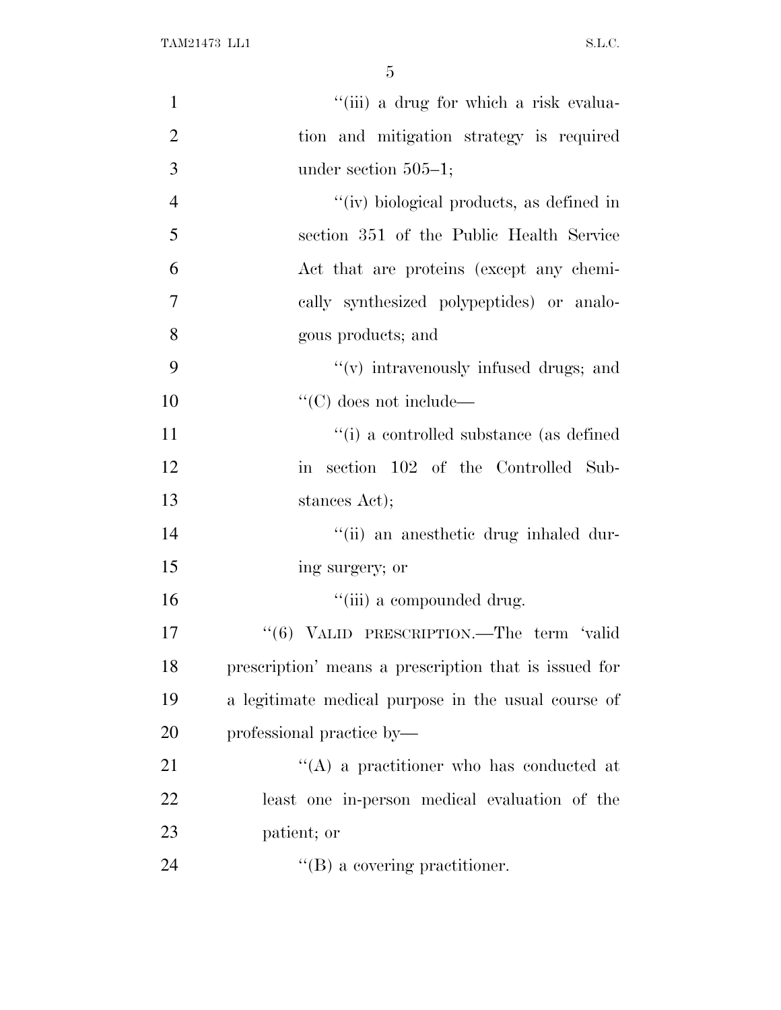| $\mathbf{1}$   | "(iii) a drug for which a risk evalua-                |
|----------------|-------------------------------------------------------|
| $\overline{2}$ | tion and mitigation strategy is required              |
| 3              | under section $505-1$ ;                               |
| $\overline{4}$ | "(iv) biological products, as defined in              |
| 5              | section 351 of the Public Health Service              |
| 6              | Act that are proteins (except any chemi-              |
| $\overline{7}$ | cally synthesized polypeptides) or analo-             |
| 8              | gous products; and                                    |
| 9              | $f'(v)$ intravenously infused drugs; and              |
| 10             | $\lq\lq C$ does not include—                          |
| 11             | "(i) a controlled substance (as defined               |
| 12             | in section 102 of the Controlled Sub-                 |
| 13             | stances Act);                                         |
| 14             | "(ii) an anesthetic drug inhaled dur-                 |
| 15             | ing surgery; or                                       |
| 16             | "(iii) a compounded drug.                             |
| 17             | "(6) VALID PRESCRIPTION.—The term 'valid              |
| 18             | prescription' means a prescription that is issued for |
| 19             | a legitimate medical purpose in the usual course of   |
| 20             | professional practice by-                             |
| 21             | "(A) a practitioner who has conducted at              |
| 22             | least one in-person medical evaluation of the         |
| 23             | patient; or                                           |
| 24             | $\lq\lq (B)$ a covering practitioner.                 |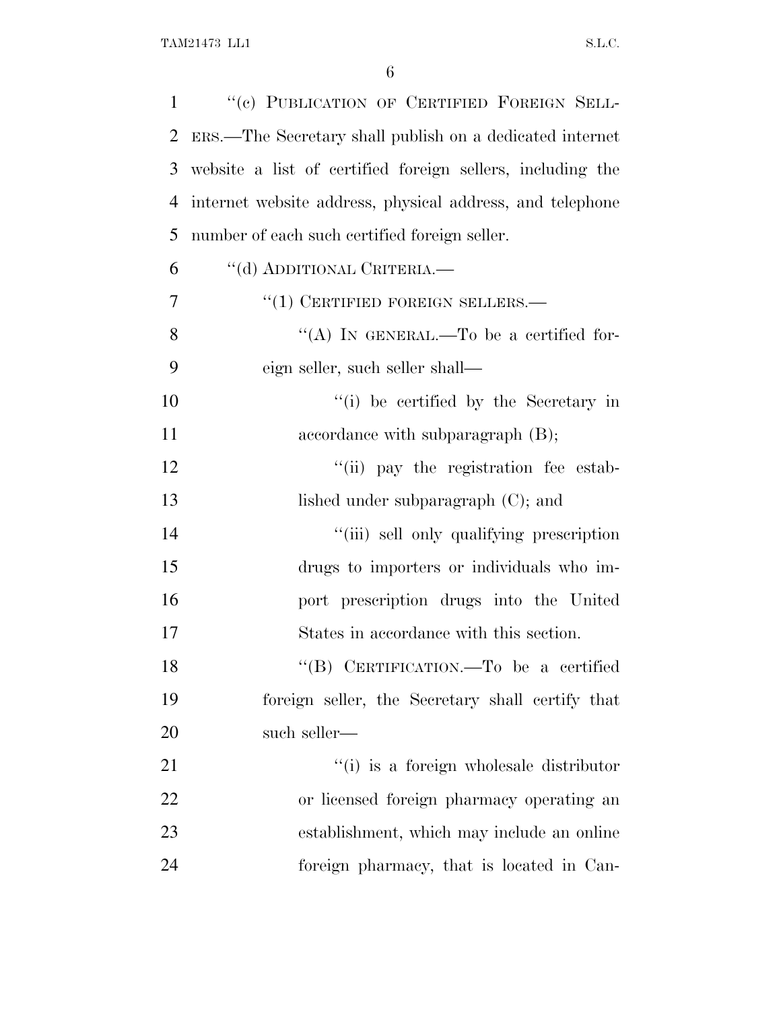| $\mathbf{1}$ | "(c) PUBLICATION OF CERTIFIED FOREIGN SELL-                |
|--------------|------------------------------------------------------------|
| 2            | ERS.—The Secretary shall publish on a dedicated internet   |
| 3            | website a list of certified foreign sellers, including the |
| 4            | internet website address, physical address, and telephone  |
| 5            | number of each such certified foreign seller.              |
| 6            | "(d) ADDITIONAL CRITERIA.—                                 |
| 7            | $``(1)$ CERTIFIED FOREIGN SELLERS.—                        |
| 8            | "(A) IN GENERAL.—To be a certified for-                    |
| 9            | eign seller, such seller shall—                            |
| 10           | "(i) be certified by the Secretary in                      |
| 11           | accordance with subparagraph $(B)$ ;                       |
| 12           | "(ii) pay the registration fee estab-                      |
| 13           | lished under subparagraph $(C)$ ; and                      |
| 14           | "(iii) sell only qualifying prescription                   |
| 15           | drugs to importers or individuals who im-                  |
| 16           | port prescription drugs into the United                    |
| 17           | States in accordance with this section.                    |
| 18           | "(B) CERTIFICATION.—To be a certified                      |
| 19           | foreign seller, the Secretary shall certify that           |
| 20           | such seller—                                               |
| 21           | "(i) is a foreign wholesale distributor                    |
| 22           | or licensed foreign pharmacy operating an                  |
| 23           | establishment, which may include an online                 |
| 24           | foreign pharmacy, that is located in Can-                  |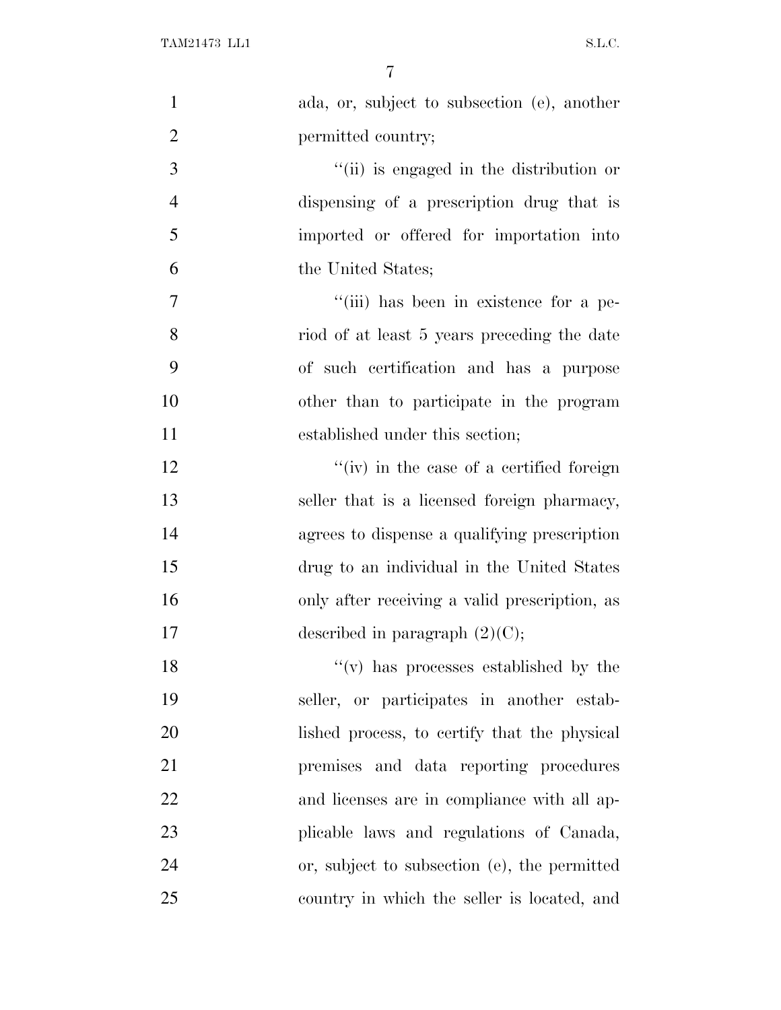| $\mathbf{1}$   | ada, or, subject to subsection (e), another   |
|----------------|-----------------------------------------------|
| $\overline{2}$ | permitted country;                            |
| 3              | "(ii) is engaged in the distribution or       |
| $\overline{4}$ | dispensing of a prescription drug that is     |
| 5              | imported or offered for importation into      |
| 6              | the United States;                            |
| 7              | "(iii) has been in existence for a pe-        |
| 8              | riod of at least 5 years preceding the date   |
| 9              | of such certification and has a purpose       |
| 10             | other than to participate in the program      |
| 11             | established under this section;               |
| 12             | "(iv) in the case of a certified foreign      |
| 13             | seller that is a licensed foreign pharmacy,   |
| 14             | agrees to dispense a qualifying prescription  |
| 15             | drug to an individual in the United States    |
| 16             | only after receiving a valid prescription, as |
| 17             | described in paragraph $(2)(C)$ ;             |
| 18             | $f'(v)$ has processes established by the      |
| 19             | seller, or participates in another estab-     |
| 20             | lished process, to certify that the physical  |
| 21             | premises and data reporting procedures        |
| 22             | and licenses are in compliance with all ap-   |
| 23             | plicable laws and regulations of Canada,      |
| 24             | or, subject to subsection (e), the permitted  |
| 25             | country in which the seller is located, and   |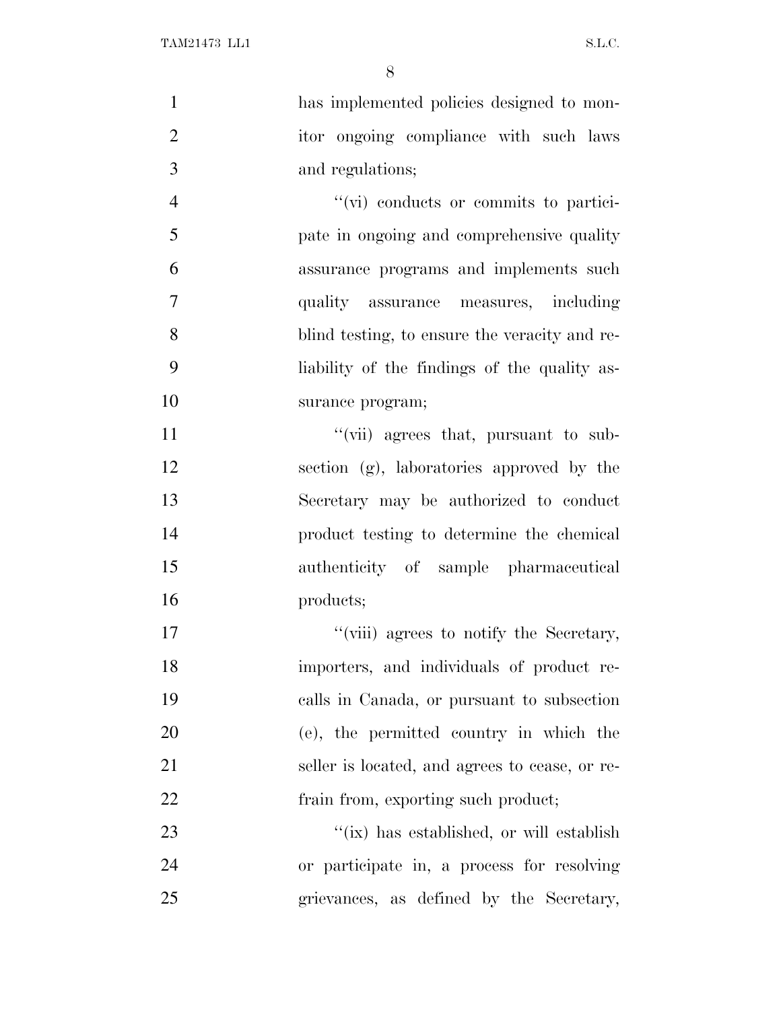| $\mathbf{1}$   | has implemented policies designed to mon-      |
|----------------|------------------------------------------------|
| $\overline{2}$ | itor ongoing compliance with such laws         |
| 3              | and regulations;                               |
| $\overline{4}$ | "(vi) conducts or commits to partici-          |
| 5              | pate in ongoing and comprehensive quality      |
| 6              | assurance programs and implements such         |
| $\overline{7}$ | quality assurance measures, including          |
| 8              | blind testing, to ensure the veracity and re-  |
| 9              | liability of the findings of the quality as-   |
| 10             | surance program;                               |
| 11             | "(vii) agrees that, pursuant to sub-           |
| 12             | section (g), laboratories approved by the      |
| 13             | Secretary may be authorized to conduct         |
| 14             | product testing to determine the chemical      |
| 15             | authenticity of sample pharmaceutical          |
| 16             | products;                                      |
| 17             | "(viii) agrees to notify the Secretary,        |
| 18             | importers, and individuals of product re-      |
| 19             | calls in Canada, or pursuant to subsection     |
| 20             | (e), the permitted country in which the        |
| 21             | seller is located, and agrees to cease, or re- |
| 22             | frain from, exporting such product;            |
| 23             | "(ix) has established, or will establish       |
| 24             | or participate in, a process for resolving     |
| 25             | grievances, as defined by the Secretary,       |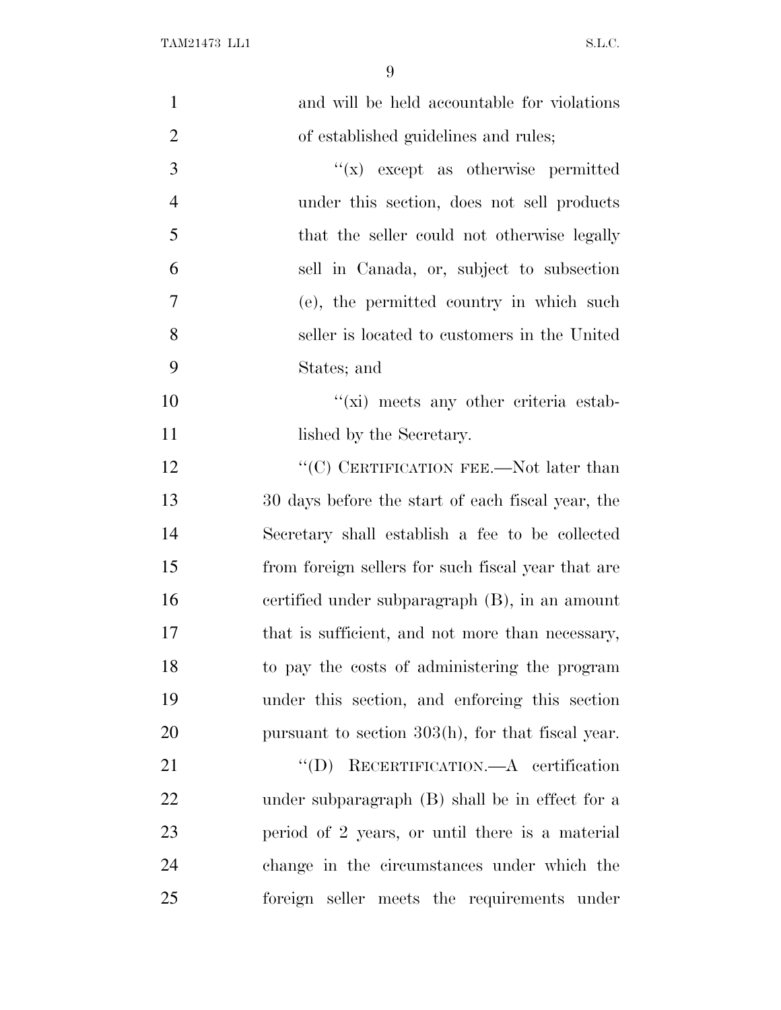| $\mathbf{1}$   | and will be held accountable for violations        |
|----------------|----------------------------------------------------|
| $\overline{2}$ | of established guidelines and rules;               |
| 3              | $f(x)$ except as otherwise permitted               |
| $\overline{4}$ | under this section, does not sell products         |
| 5              | that the seller could not otherwise legally        |
| 6              | sell in Canada, or, subject to subsection          |
| 7              | (e), the permitted country in which such           |
| 8              | seller is located to customers in the United       |
| 9              | States; and                                        |
| 10             | $\lq\lq$ (xi) meets any other criteria estab-      |
| 11             | lished by the Secretary.                           |
| 12             | " $(C)$ CERTIFICATION FEE.—Not later than          |
| 13             | 30 days before the start of each fiscal year, the  |
| 14             | Secretary shall establish a fee to be collected    |
| 15             | from foreign sellers for such fiscal year that are |
| 16             | certified under subparagraph (B), in an amount     |
| 17             | that is sufficient, and not more than necessary,   |
| 18             | to pay the costs of administering the program      |
| 19             | under this section, and enforcing this section     |
| 20             | pursuant to section 303(h), for that fiscal year.  |
| 21             | RECERTIFICATION.—A certification<br>$\lq\lq (D)$   |
| 22             | under subparagraph (B) shall be in effect for a    |
| 23             | period of 2 years, or until there is a material    |
| 24             | change in the circumstances under which the        |
| 25             | foreign seller meets the requirements under        |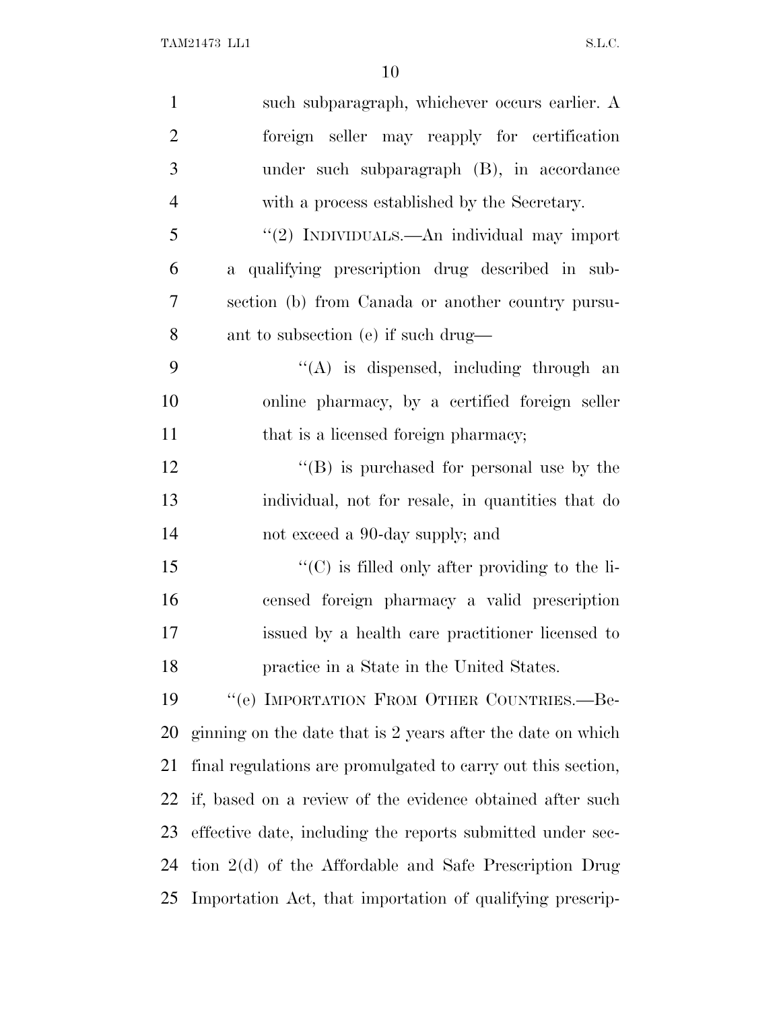| $\mathbf{1}$   | such subparagraph, whichever occurs earlier. A               |
|----------------|--------------------------------------------------------------|
| $\overline{2}$ | foreign seller may reapply for certification                 |
| 3              | under such subparagraph (B), in accordance                   |
| $\overline{4}$ | with a process established by the Secretary.                 |
| 5              | "(2) INDIVIDUALS.—An individual may import                   |
| 6              | a qualifying prescription drug described in sub-             |
| 7              | section (b) from Canada or another country pursu-            |
| 8              | ant to subsection (e) if such drug—                          |
| 9              | "(A) is dispensed, including through an                      |
| 10             | online pharmacy, by a certified foreign seller               |
| 11             | that is a licensed foreign pharmacy;                         |
| 12             | $\lq\lq (B)$ is purchased for personal use by the            |
| 13             | individual, not for resale, in quantities that do            |
| 14             | not exceed a 90-day supply; and                              |
| 15             | $\lq\lq$ (C) is filled only after providing to the li-       |
| 16             | censed foreign pharmacy a valid prescription                 |
| 17             | issued by a health care practitioner licensed to             |
| 18             | practice in a State in the United States.                    |
| 19             | "(e) IMPORTATION FROM OTHER COUNTRIES.—Be-                   |
| <b>20</b>      | ginning on the date that is 2 years after the date on which  |
| 21             | final regulations are promulgated to carry out this section, |
| 22             | if, based on a review of the evidence obtained after such    |
| 23             | effective date, including the reports submitted under sec-   |
| 24             | tion $2(d)$ of the Affordable and Safe Prescription Drug     |
| 25             | Importation Act, that importation of qualifying prescrip-    |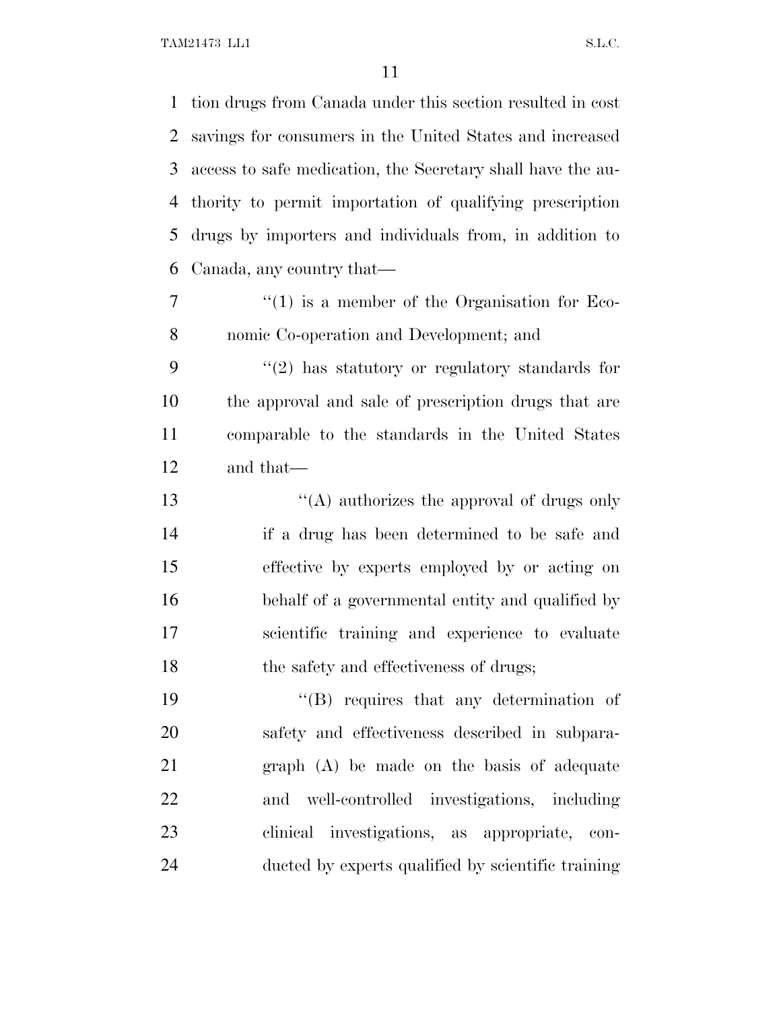TAM21473 LL1 S.L.C.

 tion drugs from Canada under this section resulted in cost savings for consumers in the United States and increased access to safe medication, the Secretary shall have the au- thority to permit importation of qualifying prescription drugs by importers and individuals from, in addition to Canada, any country that—

7  $\frac{1}{1}$  is a member of the Organisation for Eco-nomic Co-operation and Development; and

 ''(2) has statutory or regulatory standards for the approval and sale of prescription drugs that are comparable to the standards in the United States and that—

 ''(A) authorizes the approval of drugs only if a drug has been determined to be safe and effective by experts employed by or acting on behalf of a governmental entity and qualified by scientific training and experience to evaluate the safety and effectiveness of drugs;

19 ''(B) requires that any determination of safety and effectiveness described in subpara- graph (A) be made on the basis of adequate and well-controlled investigations, including clinical investigations, as appropriate, con-ducted by experts qualified by scientific training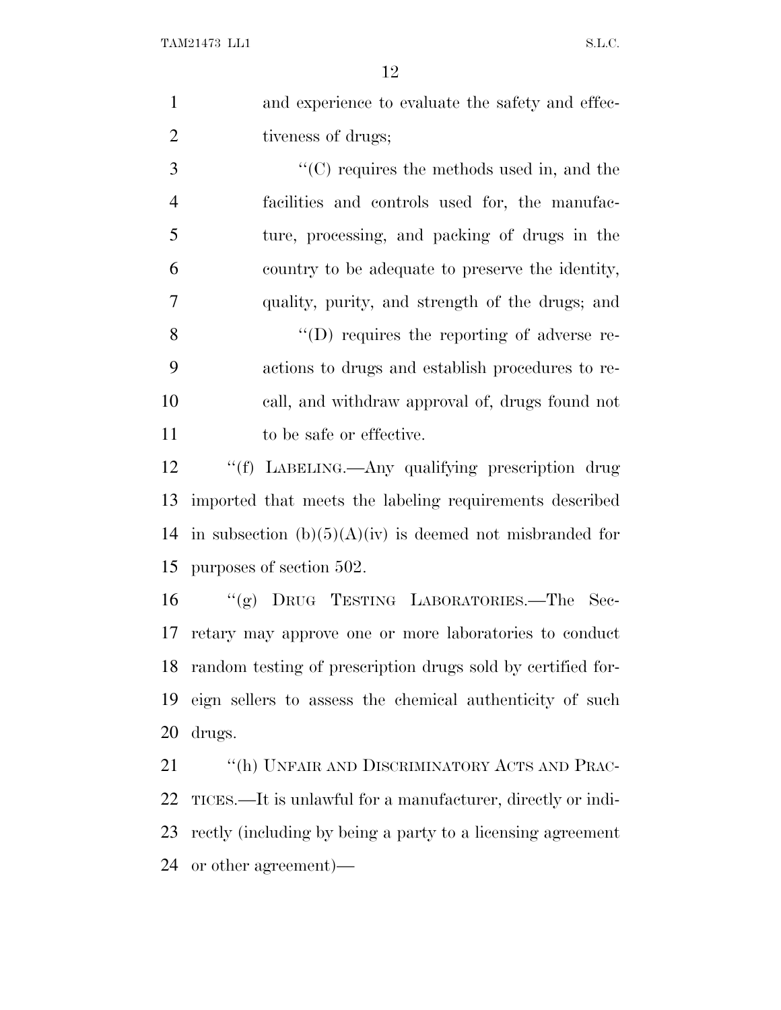| 1 | and experience to evaluate the safety and effec- |
|---|--------------------------------------------------|
| 2 | tiveness of drugs;                               |
| 3 | $\lq\lq$ requires the methods used in, and the   |
| 4 | facilities and controls used for, the manufac-   |

 ture, processing, and packing of drugs in the country to be adequate to preserve the identity, quality, purity, and strength of the drugs; and

 ''(D) requires the reporting of adverse re- actions to drugs and establish procedures to re- call, and withdraw approval of, drugs found not 11 to be safe or effective.

 ''(f) LABELING.—Any qualifying prescription drug imported that meets the labeling requirements described 14 in subsection  $(b)(5)(A)(iv)$  is deemed not misbranded for purposes of section 502.

 ''(g) DRUG TESTING LABORATORIES.—The Sec- retary may approve one or more laboratories to conduct random testing of prescription drugs sold by certified for- eign sellers to assess the chemical authenticity of such drugs.

21 "(h) UNFAIR AND DISCRIMINATORY ACTS AND PRAC- TICES.—It is unlawful for a manufacturer, directly or indi- rectly (including by being a party to a licensing agreement or other agreement)—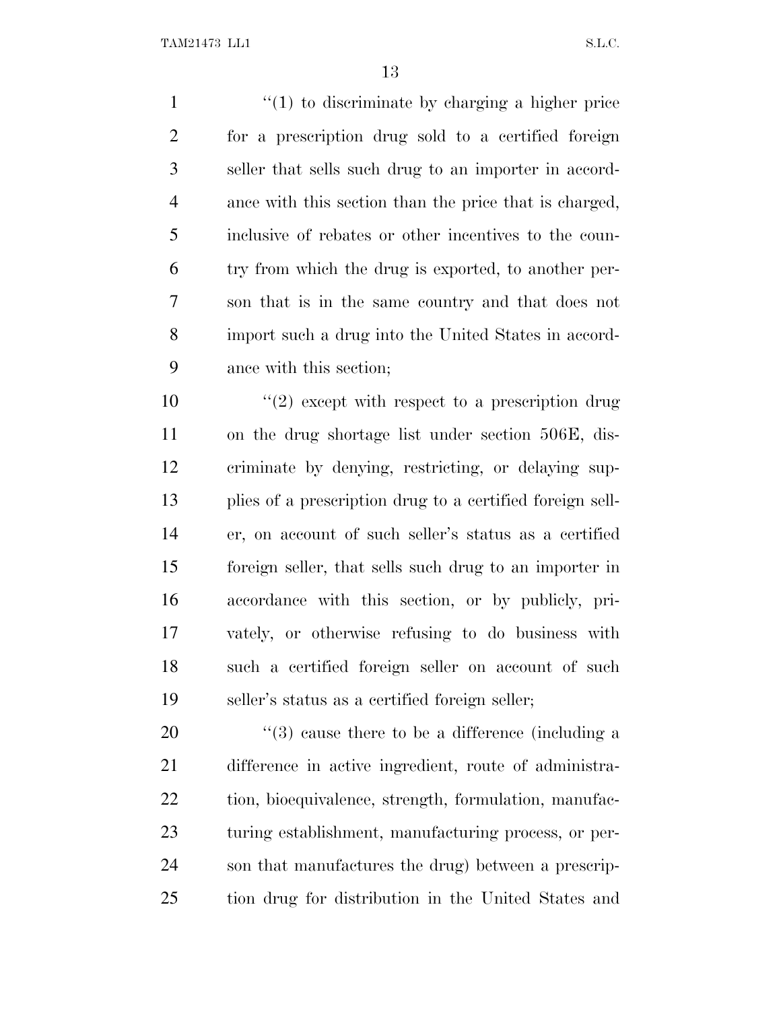1 ''(1) to discriminate by charging a higher price for a prescription drug sold to a certified foreign seller that sells such drug to an importer in accord- ance with this section than the price that is charged, inclusive of rebates or other incentives to the coun- try from which the drug is exported, to another per- son that is in the same country and that does not import such a drug into the United States in accord-ance with this section;

 $\frac{u(2)}{2}$  except with respect to a prescription drug on the drug shortage list under section 506E, dis- criminate by denying, restricting, or delaying sup- plies of a prescription drug to a certified foreign sell- er, on account of such seller's status as a certified foreign seller, that sells such drug to an importer in accordance with this section, or by publicly, pri- vately, or otherwise refusing to do business with such a certified foreign seller on account of such seller's status as a certified foreign seller;

 $\frac{1}{2}$  (3) cause there to be a difference (including a difference in active ingredient, route of administra-22 tion, bioequivalence, strength, formulation, manufac- turing establishment, manufacturing process, or per- son that manufactures the drug) between a prescrip-tion drug for distribution in the United States and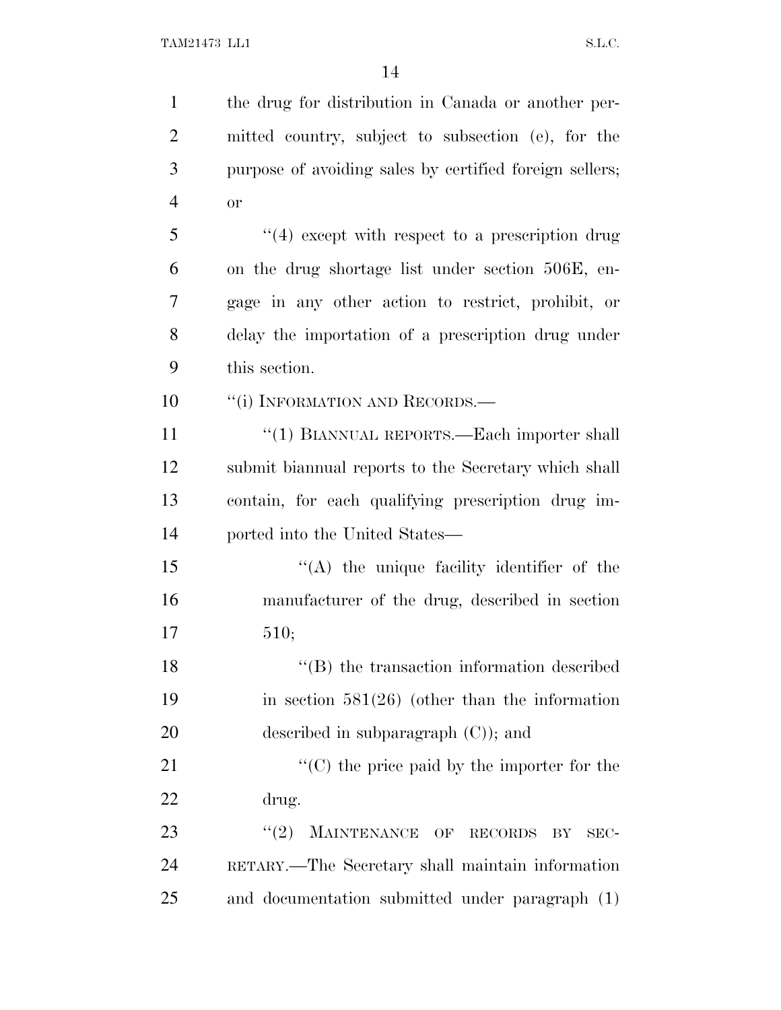| $\mathbf{1}$   | the drug for distribution in Canada or another per-     |
|----------------|---------------------------------------------------------|
| $\overline{2}$ | mitted country, subject to subsection (e), for the      |
| 3              | purpose of avoiding sales by certified foreign sellers; |
| $\overline{4}$ | <b>or</b>                                               |
| 5              | $\lq(4)$ except with respect to a prescription drug     |
| 6              | on the drug shortage list under section 506E, en-       |
| 7              | gage in any other action to restrict, prohibit, or      |
| 8              | delay the importation of a prescription drug under      |
| 9              | this section.                                           |
| 10             | "(i) INFORMATION AND RECORDS.—                          |
| 11             | "(1) BIANNUAL REPORTS.—Each importer shall              |
| 12             | submit biannual reports to the Secretary which shall    |
| 13             | contain, for each qualifying prescription drug im-      |
| 14             | ported into the United States—                          |
| 15             | "(A) the unique facility identifier of the              |
| 16             | manufacturer of the drug, described in section          |
| 17             | 510;                                                    |
| 18             | "(B) the transaction information described              |
| 19             | in section $581(26)$ (other than the information        |
| 20             | described in subparagraph $(C)$ ; and                   |
| 21             | $\lq\lq$ (C) the price paid by the importer for the     |
| 22             | drug.                                                   |
| 23             | MAINTENANCE OF<br>(2)<br>RECORDS<br>BY<br>SEC-          |
| 24             | RETARY.—The Secretary shall maintain information        |
| 25             | and documentation submitted under paragraph (1)         |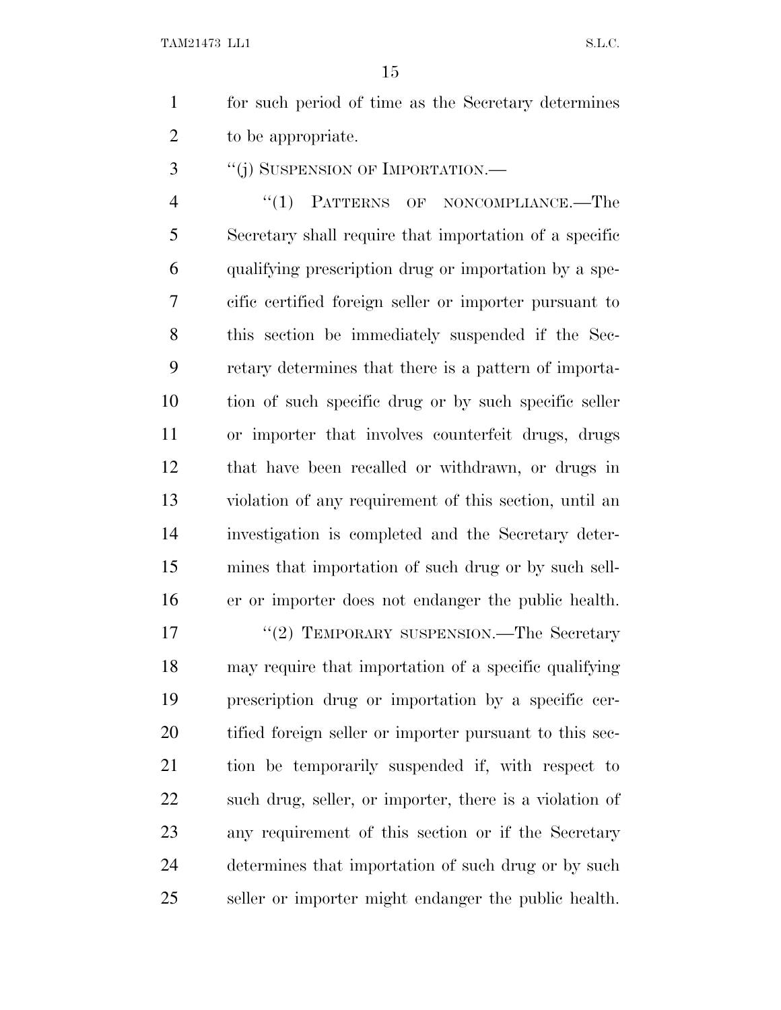for such period of time as the Secretary determines to be appropriate.

3 "(j) SUSPENSION OF IMPORTATION.—

4 "(1) PATTERNS OF NONCOMPLIANCE.—The Secretary shall require that importation of a specific qualifying prescription drug or importation by a spe- cific certified foreign seller or importer pursuant to this section be immediately suspended if the Sec- retary determines that there is a pattern of importa- tion of such specific drug or by such specific seller or importer that involves counterfeit drugs, drugs that have been recalled or withdrawn, or drugs in violation of any requirement of this section, until an investigation is completed and the Secretary deter- mines that importation of such drug or by such sell-er or importer does not endanger the public health.

17 "(2) TEMPORARY SUSPENSION.—The Secretary may require that importation of a specific qualifying prescription drug or importation by a specific cer- tified foreign seller or importer pursuant to this sec- tion be temporarily suspended if, with respect to such drug, seller, or importer, there is a violation of any requirement of this section or if the Secretary determines that importation of such drug or by such seller or importer might endanger the public health.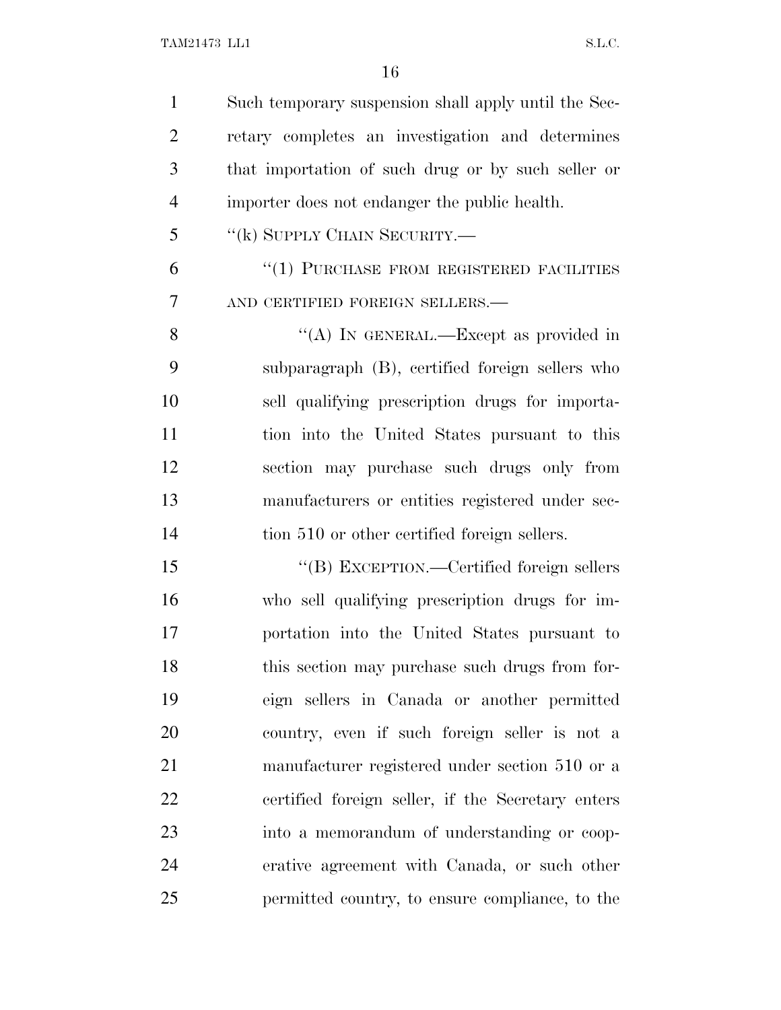Such temporary suspension shall apply until the Sec- retary completes an investigation and determines that importation of such drug or by such seller or importer does not endanger the public health. ''(k) SUPPLY CHAIN SECURITY.— 6 "(1) PURCHASE FROM REGISTERED FACILITIES

AND CERTIFIED FOREIGN SELLERS.—

8 "(A) IN GENERAL.—Except as provided in subparagraph (B), certified foreign sellers who sell qualifying prescription drugs for importa- tion into the United States pursuant to this section may purchase such drugs only from manufacturers or entities registered under sec-14 tion 510 or other certified foreign sellers.

15 "(B) EXCEPTION.—Certified foreign sellers who sell qualifying prescription drugs for im- portation into the United States pursuant to 18 this section may purchase such drugs from for- eign sellers in Canada or another permitted country, even if such foreign seller is not a manufacturer registered under section 510 or a certified foreign seller, if the Secretary enters into a memorandum of understanding or coop- erative agreement with Canada, or such other permitted country, to ensure compliance, to the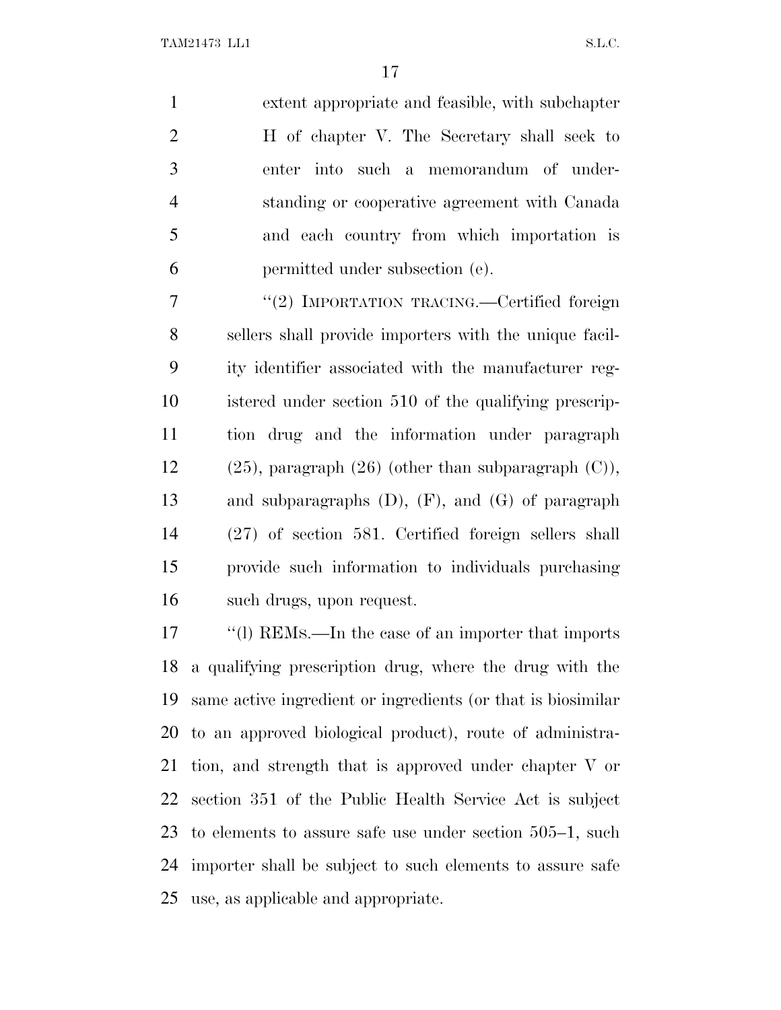extent appropriate and feasible, with subchapter H of chapter V. The Secretary shall seek to enter into such a memorandum of under- standing or cooperative agreement with Canada and each country from which importation is permitted under subsection (e).

 ''(2) IMPORTATION TRACING.—Certified foreign sellers shall provide importers with the unique facil- ity identifier associated with the manufacturer reg- istered under section 510 of the qualifying prescrip- tion drug and the information under paragraph 12 (25), paragraph  $(26)$  (other than subparagraph  $(C)$ ), and subparagraphs (D), (F), and (G) of paragraph (27) of section 581. Certified foreign sellers shall provide such information to individuals purchasing such drugs, upon request.

 ''(l) REMS.—In the case of an importer that imports a qualifying prescription drug, where the drug with the same active ingredient or ingredients (or that is biosimilar to an approved biological product), route of administra- tion, and strength that is approved under chapter V or section 351 of the Public Health Service Act is subject to elements to assure safe use under section 505–1, such importer shall be subject to such elements to assure safe use, as applicable and appropriate.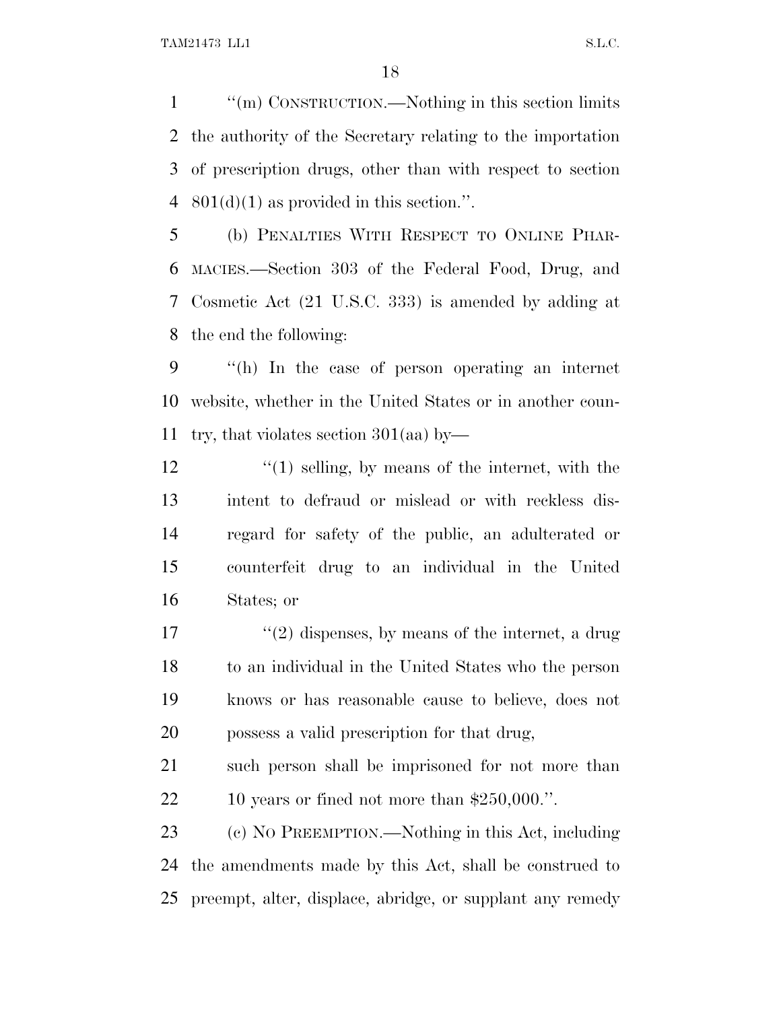''(m) CONSTRUCTION.—Nothing in this section limits the authority of the Secretary relating to the importation of prescription drugs, other than with respect to section  $801(d)(1)$  as provided in this section.".

 (b) PENALTIES WITH RESPECT TO ONLINE PHAR- MACIES.—Section 303 of the Federal Food, Drug, and Cosmetic Act (21 U.S.C. 333) is amended by adding at the end the following:

 ''(h) In the case of person operating an internet website, whether in the United States or in another coun-try, that violates section 301(aa) by—

12 ''(1) selling, by means of the internet, with the intent to defraud or mislead or with reckless dis- regard for safety of the public, an adulterated or counterfeit drug to an individual in the United States; or

17 ''(2) dispenses, by means of the internet, a drug to an individual in the United States who the person knows or has reasonable cause to believe, does not possess a valid prescription for that drug,

 such person shall be imprisoned for not more than 10 years or fined not more than \$250,000.''.

 (c) N<sup>O</sup> PREEMPTION.—Nothing in this Act, including the amendments made by this Act, shall be construed to preempt, alter, displace, abridge, or supplant any remedy